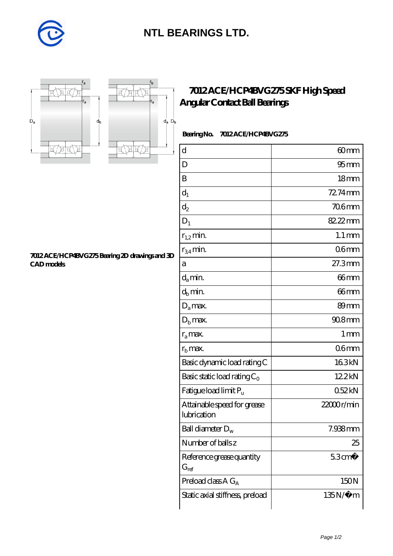

## **[NTL BEARINGS LTD.](https://diabetesfriends.net)**



**[CAD models](https://diabetesfriends.net/pic-590684.html)**



r,

**[7012 ACE/HCP4BVG275 Bearing 2D drawings and 3D](https://diabetesfriends.net/pic-590684.html)**

## **[7012 ACE/HCP4BVG275 SKF High Speed](https://diabetesfriends.net/skf-bearing/7012-ace-hcp4bvg275.html) [Angular Contact Ball Bearings](https://diabetesfriends.net/skf-bearing/7012-ace-hcp4bvg275.html)**

 **Bearing No. 7012 ACE/HCP4BVG275**

| d                                          | 60 <sub>mm</sub>    |
|--------------------------------------------|---------------------|
| D                                          | $95 \text{mm}$      |
| B                                          | 18 <sub>mm</sub>    |
| $d_1$                                      | 72.74mm             |
| $d_2$                                      | <b>706mm</b>        |
| $D_1$                                      | 82.22mm             |
| $r_{1,2}$ min.                             | $1.1 \,\mathrm{mm}$ |
| $r_{34}$ min.                              | 06 <sub>mm</sub>    |
| а                                          | 27.3mm              |
| $d_a$ min.                                 | 66 <sub>mm</sub>    |
| $d_b$ min.                                 | 66mm                |
| $D_a$ max.                                 | 89mm                |
| $Db$ max.                                  | $908$ mm            |
| $r_a$ max.                                 | 1 <sub>mm</sub>     |
| $rb$ max.                                  | 06 <sub>mm</sub>    |
| Basic dynamic load rating C                | 163kN               |
| Basic static load rating $C_0$             | 12.2kN              |
| Fatigue load limit $P_{\rm u}$             | 052kN               |
| Attainable speed for grease<br>lubrication | 22000r/min          |
| Ball diameter $D_w$                        | 7.938mm             |
| Number of balls z                          | 25                  |
| Reference grease quantity<br>$G_{ref}$     | $53 \text{cm}^3$    |
| Preload class $AG_A$                       | 150N                |
| Static axial stiffness, preload            | $135N/\mu$ m        |